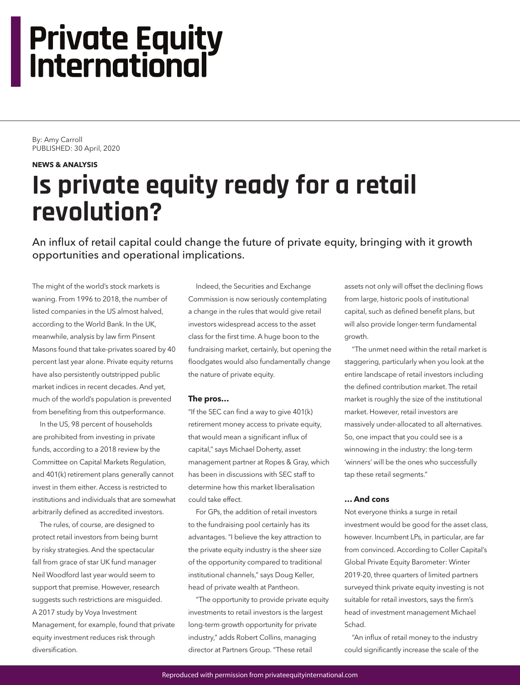# **Private Equity International**

By: Amy Carroll PUBLISHED: 30 April, 2020

#### **NEWS & ANALYSIS**

## **Is private equity ready for a retail revolution?**

An influx of retail capital could change the future of private equity, bringing with it growth opportunities and operational implications.

The might of the world's stock markets is waning. From 1996 to 2018, the number of listed companies in the US almost halved, according to the World Bank. In the UK, meanwhile, analysis by law firm Pinsent Masons found that take-privates soared by 40 percent last year alone. Private equity returns have also persistently outstripped public market indices in recent decades. And yet, much of the world's population is prevented from benefiting from this outperformance.

In the US, 98 percent of households are prohibited from investing in private funds, according to a 2018 review by the Committee on Capital Markets Regulation, and 401(k) retirement plans generally cannot invest in them either. Access is restricted to institutions and individuals that are somewhat arbitrarily defined as accredited investors.

The rules, of course, are designed to protect retail investors from being burnt by risky strategies. And the spectacular fall from grace of star UK fund manager Neil Woodford last year would seem to support that premise. However, research suggests such restrictions are misguided. A 2017 study by Voya Investment Management, for example, found that private equity investment reduces risk through diversification.

Indeed, the Securities and Exchange Commission is now seriously contemplating a change in the rules that would give retail investors widespread access to the asset class for the first time. A huge boon to the fundraising market, certainly, but opening the floodgates would also fundamentally change the nature of private equity.

#### **The pros…**

"If the SEC can find a way to give 401(k) retirement money access to private equity, that would mean a significant influx of capital," says Michael Doherty, asset management partner at Ropes & Gray, which has been in discussions with SEC staff to determine how this market liberalisation could take effect.

For GPs, the addition of retail investors to the fundraising pool certainly has its advantages. "I believe the key attraction to the private equity industry is the sheer size of the opportunity compared to traditional institutional channels," says Doug Keller, head of private wealth at Pantheon.

"The opportunity to provide private equity investments to retail investors is the largest long-term growth opportunity for private industry," adds Robert Collins, managing director at Partners Group. "These retail

assets not only will offset the declining flows from large, historic pools of institutional capital, such as defined benefit plans, but will also provide longer-term fundamental growth.

"The unmet need within the retail market is staggering, particularly when you look at the entire landscape of retail investors including the defined contribution market. The retail market is roughly the size of the institutional market. However, retail investors are massively under-allocated to all alternatives. So, one impact that you could see is a winnowing in the industry: the long-term 'winners' will be the ones who successfully tap these retail segments."

### **… And cons**

Not everyone thinks a surge in retail investment would be good for the asset class, however. Incumbent LPs, in particular, are far from convinced. According to Coller Capital's Global Private Equity Barometer: Winter 2019-20, three quarters of limited partners surveyed think private equity investing is not suitable for retail investors, says the firm's head of investment management Michael Schad.

"An influx of retail money to the industry could significantly increase the scale of the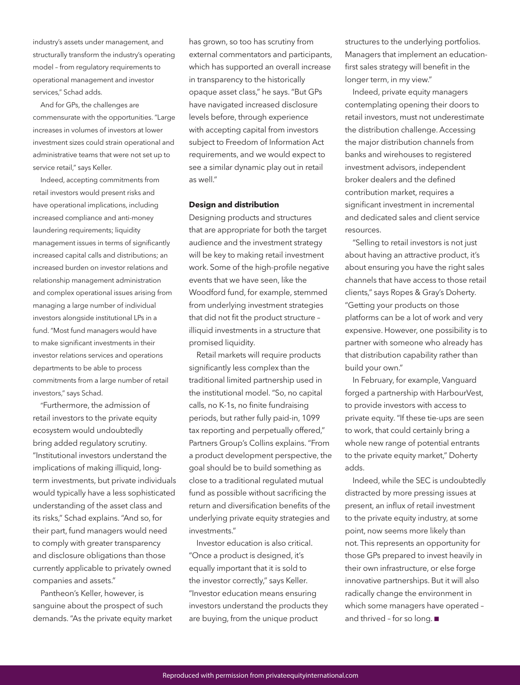industry's assets under management, and structurally transform the industry's operating model – from regulatory requirements to operational management and investor services," Schad adds.

And for GPs, the challenges are commensurate with the opportunities. "Large increases in volumes of investors at lower investment sizes could strain operational and administrative teams that were not set up to service retail," says Keller.

Indeed, accepting commitments from retail investors would present risks and have operational implications, including increased compliance and anti-money laundering requirements; liquidity management issues in terms of significantly increased capital calls and distributions; an increased burden on investor relations and relationship management administration and complex operational issues arising from managing a large number of individual investors alongside institutional LPs in a fund. "Most fund managers would have to make significant investments in their investor relations services and operations departments to be able to process commitments from a large number of retail investors," says Schad.

"Furthermore, the admission of retail investors to the private equity ecosystem would undoubtedly bring added regulatory scrutiny. "Institutional investors understand the implications of making illiquid, longterm investments, but private individuals would typically have a less sophisticated understanding of the asset class and its risks," Schad explains. "And so, for their part, fund managers would need to comply with greater transparency and disclosure obligations than those currently applicable to privately owned companies and assets."

Pantheon's Keller, however, is sanguine about the prospect of such demands. "As the private equity market has grown, so too has scrutiny from external commentators and participants, which has supported an overall increase in transparency to the historically opaque asset class," he says. "But GPs have navigated increased disclosure levels before, through experience with accepting capital from investors subject to Freedom of Information Act requirements, and we would expect to see a similar dynamic play out in retail as well."

#### **Design and distribution**

Designing products and structures that are appropriate for both the target audience and the investment strategy will be key to making retail investment work. Some of the high-profile negative events that we have seen, like the Woodford fund, for example, stemmed from underlying investment strategies that did not fit the product structure – illiquid investments in a structure that promised liquidity.

Retail markets will require products significantly less complex than the traditional limited partnership used in the institutional model. "So, no capital calls, no K-1s, no finite fundraising periods, but rather fully paid-in, 1099 tax reporting and perpetually offered," Partners Group's Collins explains. "From a product development perspective, the goal should be to build something as close to a traditional regulated mutual fund as possible without sacrificing the return and diversification benefits of the underlying private equity strategies and investments."

Investor education is also critical. "Once a product is designed, it's equally important that it is sold to the investor correctly," says Keller. "Investor education means ensuring investors understand the products they are buying, from the unique product

structures to the underlying portfolios. Managers that implement an educationfirst sales strategy will benefit in the longer term, in my view."

Indeed, private equity managers contemplating opening their doors to retail investors, must not underestimate the distribution challenge. Accessing the major distribution channels from banks and wirehouses to registered investment advisors, independent broker dealers and the defined contribution market, requires a significant investment in incremental and dedicated sales and client service resources.

"Selling to retail investors is not just about having an attractive product, it's about ensuring you have the right sales channels that have access to those retail clients," says Ropes & Gray's Doherty. "Getting your products on those platforms can be a lot of work and very expensive. However, one possibility is to partner with someone who already has that distribution capability rather than build your own."

In February, for example, Vanguard forged a partnership with HarbourVest, to provide investors with access to private equity. "If these tie-ups are seen to work, that could certainly bring a whole new range of potential entrants to the private equity market," Doherty adds.

Indeed, while the SEC is undoubtedly distracted by more pressing issues at present, an influx of retail investment to the private equity industry, at some point, now seems more likely than not. This represents an opportunity for those GPs prepared to invest heavily in their own infrastructure, or else forge innovative partnerships. But it will also radically change the environment in which some managers have operated – and thrived - for so long.  $\blacksquare$